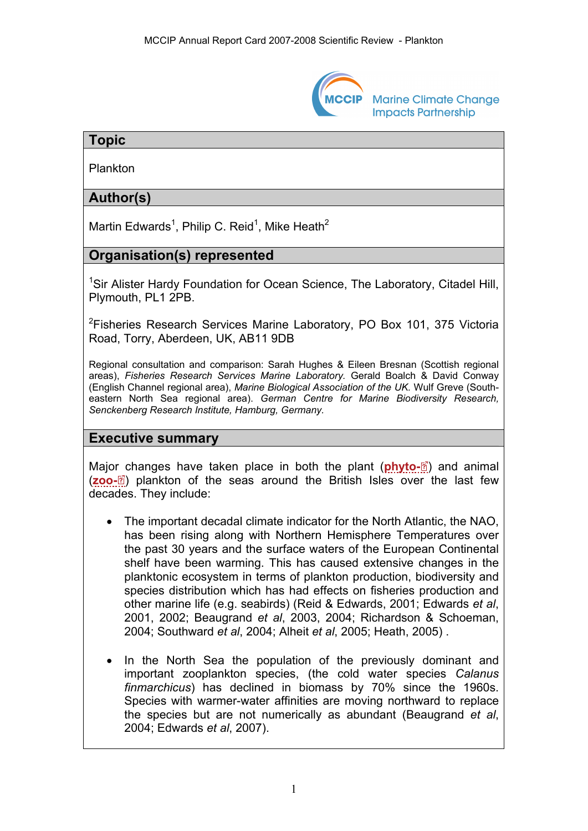

# **Topic**

Plankton

# **Author(s)**

Martin Edwards<sup>1</sup>, Philip C. Reid<sup>1</sup>, Mike Heath<sup>2</sup>

# **Organisation(s) represented**

<sup>1</sup>Sir Alister Hardy Foundation for Ocean Science, The Laboratory, Citadel Hill, Plymouth, PL1 2PB.

<sup>2</sup>Fisheries Research Services Marine Laboratory, PO Box 101, 375 Victoria Road, Torry, Aberdeen, UK, AB11 9DB

Regional consultation and comparison: Sarah Hughes & Eileen Bresnan (Scottish regional areas), *Fisheries Research Services Marine Laboratory.* Gerald Boalch & David Conway (English Channel regional area), *Marine Biological Association of the UK.* Wulf Greve (Southeastern North Sea regional area). *German Centre for Marine Biodiversity Research, Senckenberg Research Institute, Hamburg, Germany.* 

#### **Executive summary**

Maj[or c](http://www.mccip.org.uk/arc/2007/glossary.htm)hanges have taken place in both the plant (**[phyto-](http://www.mccip.org.uk/arc/2007/glossary.htm#Phytoplankton)**<sup>3</sup>[\)](http://www.mccip.org.uk/arc/2007/glossary.htm) and animal (**[zoo-](http://www.mccip.org.uk/arc/2007/glossary.htm#Zooplankton)**<sup><sup>3</sup>)</sub> plankton of the seas around the British Isles over the last few</sup> decades. They include:

- The important decadal climate indicator for the North Atlantic, the NAO, has been rising along with Northern Hemisphere Temperatures over the past 30 years and the surface waters of the European Continental shelf have been warming. This has caused extensive changes in the planktonic ecosystem in terms of plankton production, biodiversity and species distribution which has had effects on fisheries production and other marine life (e.g. seabirds) (Reid & Edwards, 2001; Edwards *et al*, 2001, 2002; Beaugrand *et al*, 2003, 2004; Richardson & Schoeman, 2004; Southward *et al*, 2004; Alheit *et al*, 2005; Heath, 2005) .
- In the North Sea the population of the previously dominant and important zooplankton species, (the cold water species *Calanus finmarchicus*) has declined in biomass by 70% since the 1960s. Species with warmer-water affinities are moving northward to replace the species but are not numerically as abundant (Beaugrand *et al*, 2004; Edwards *et al*, 2007).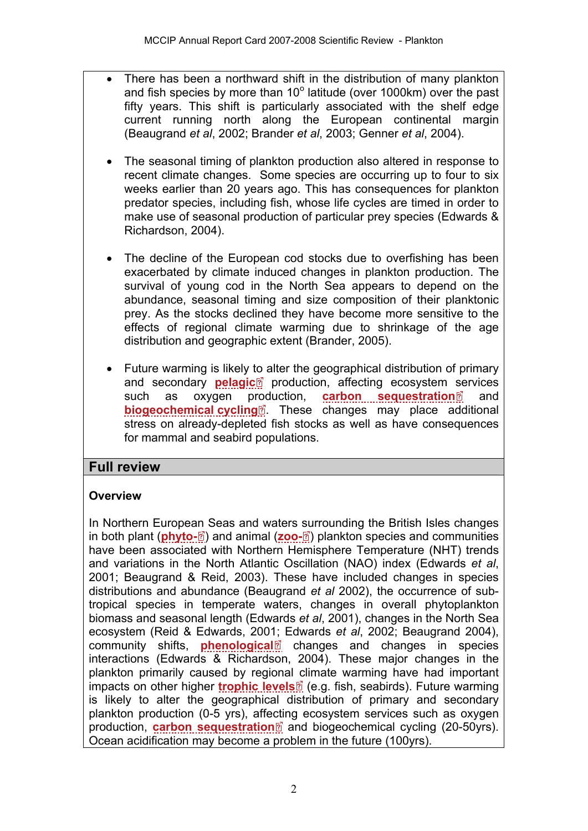- There has been a northward shift in the distribution of many plankton and fish species by more than  $10^{\circ}$  latitude (over 1000km) over the past fifty years. This shift is particularly associated with the shelf edge current running north along the European continental margin (Beaugrand *et al*, 2002; Brander *et al*, 2003; Genner *et al*, 2004).
	- The seasonal timing of plankton production also altered in response to recent climate changes. Some species are occurring up to four to six weeks earlier than 20 years ago. This has consequences for plankton predator species, including fish, whose life cycles are timed in order to make use of seasonal production of particular prey species (Edwards & Richardson, 2004).
	- The decline of the European cod stocks due to overfishing has been exacerbated by climate induced changes in plankton production. The survival of young cod in the North Sea appears to depend on the abundance, seasonal timing and size composition of their planktonic prey. As the stocks declined they have become more sensitive to the effects of regional climate warming due to shrinkage of the age distribution and geographic extent (Brander, 2005).
	- Future warming is likely [to a](http://www.mccip.org.uk/arc/2007/glossary.htm)lter the geographical distribution of primary and [se](http://www.mccip.org.uk/arc/2007/glossary.htm)condary **[pelagic](http://www.mccip.org.uk/arc/2007/glossary.htm#Pelagic)<sup>1</sup>** production, affecting ecosystem services such as oxygen p[rod](http://www.mccip.org.uk/arc/2007/glossary.htm)uction, **[carbon sequestration](http://www.mccip.org.uk/arc/2007/glossary.htm#Carbon_sequestration)**<sup>2</sup> and **[biogeochemical cycling](http://www.mccip.org.uk/arc/2007/glossary.htm#Biogeochemical)**<sup>2</sup>. These changes may place additional stress on already-depleted fish stocks as well as have consequences for mammal and seabird populations.

## **Full review**

## **Overview**

In Northern Europe[an S](http://www.mccip.org.uk/arc/2007/glossary.htm)eas and waters [su](http://www.mccip.org.uk/arc/2007/glossary.htm)rrounding the British Isles changes in both plant (**[phyto-](http://www.mccip.org.uk/arc/2007/glossary.htm#Phytoplankton)** ) and animal (**[zoo-](http://www.mccip.org.uk/arc/2007/glossary.htm#Zooplankton)** ) plankton species and communities have been associated with Northern Hemisphere Temperature (NHT) trends and variations in the North Atlantic Oscillation (NAO) index (Edwards *et al*, 2001; Beaugrand & Reid, 2003). These have included changes in species distributions and abundance (Beaugrand *et al* 2002), the occurrence of subtropical species in temperate waters, changes in overall phytoplankton biomass and seasonal length (Edwards *et al*, 2001), changes in the North Sea ecosystem (Reid & Edwards, 200[1;](http://www.mccip.org.uk/arc/2007/glossary.htm) Edwards *et al*, 2002; Beaugrand 2004), community shifts, **[phenological](http://www.mccip.org.uk/arc/2007/glossary.htm#Phenological)**<sup>8</sup> changes and changes in species interactions (Edwards & Richardson, 2004). These major changes in the plankton primarily caused by regiona[l cl](http://www.mccip.org.uk/arc/2007/glossary.htm)imate warming have had important impacts on other higher **[trophic levels](http://www.mccip.org.uk/arc/2007/glossary.htm#Trophic_levels)** (e.g. fish, seabirds). Future warming is likely to alter the geographical distribution of primary and secondary plankton production (0-5 yrs), aff[ectin](http://www.mccip.org.uk/arc/2007/glossary.htm)g ecosystem services such as oxygen production, **[carbon sequestration](http://www.mccip.org.uk/arc/2007/glossary.htm#Carbon_sequestration)** and biogeochemical cycling (20-50yrs). Ocean acidification may become a problem in the future (100yrs).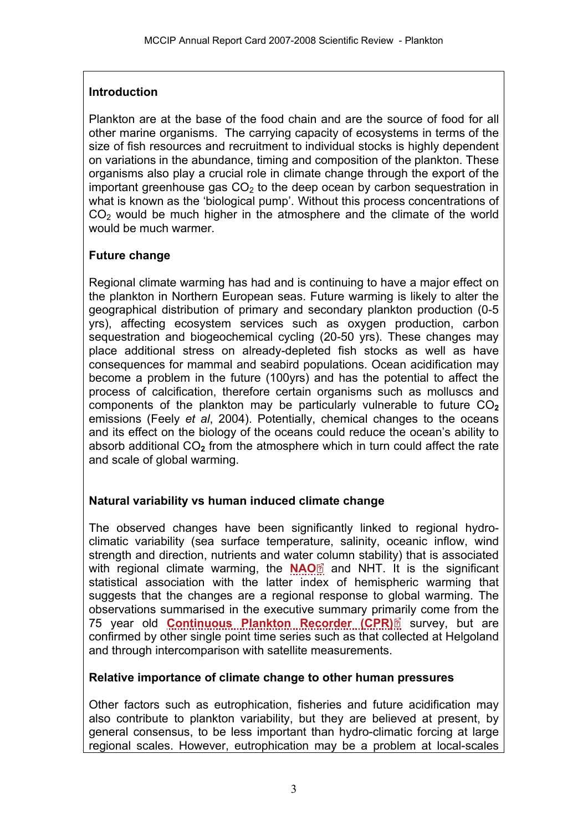#### **Introduction**

Plankton are at the base of the food chain and are the source of food for all other marine organisms. The carrying capacity of ecosystems in terms of the size of fish resources and recruitment to individual stocks is highly dependent on variations in the abundance, timing and composition of the plankton. These organisms also play a crucial role in climate change through the export of the important greenhouse gas  $CO<sub>2</sub>$  to the deep ocean by carbon sequestration in what is known as the 'biological pump'. Without this process concentrations of  $CO<sub>2</sub>$  would be much higher in the atmosphere and the climate of the world would be much warmer.

### **Future change**

Regional climate warming has had and is continuing to have a major effect on the plankton in Northern European seas. Future warming is likely to alter the geographical distribution of primary and secondary plankton production (0-5 yrs), affecting ecosystem services such as oxygen production, carbon sequestration and biogeochemical cycling (20-50 yrs). These changes may place additional stress on already-depleted fish stocks as well as have consequences for mammal and seabird populations. Ocean acidification may become a problem in the future (100yrs) and has the potential to affect the process of calcification, therefore certain organisms such as molluscs and components of the plankton may be particularly vulnerable to future CO<sub>2</sub> emissions (Feely *et al*, 2004). Potentially, chemical changes to the oceans and its effect on the biology of the oceans could reduce the ocean's ability to absorb additional CO**2** from the atmosphere which in turn could affect the rate and scale of global warming.

## **Natural variability vs human induced climate change**

The observed changes have been significantly linked to regional hydroclimatic variability (sea surface temperature, salinity, oceanic inflow, wind strength and direction, nutrients and water [co](http://www.mccip.org.uk/arc/2007/glossary.htm)lumn stability) that is associated with regional climate warming, the **[NAO](http://www.mccip.org.uk/arc/2007/glossary.htm#NAO)** and NHT. It is the significant statistical association with the latter index of hemispheric warming that suggests that the changes are a regional response to global warming. The observations summarised in the executive summary pri[mar](http://www.mccip.org.uk/arc/2007/glossary.htm)ily come from the 75 year old **[Continuous Plankton Recorder \(CPR\)](http://www.mccip.org.uk/arc/2007/glossary.htm#CPR)** survey, but are confirmed by other single point time series such as that collected at Helgoland and through intercomparison with satellite measurements.

#### **Relative importance of climate change to other human pressures**

Other factors such as eutrophication, fisheries and future acidification may also contribute to plankton variability, but they are believed at present, by general consensus, to be less important than hydro-climatic forcing at large regional scales. However, eutrophication may be a problem at local-scales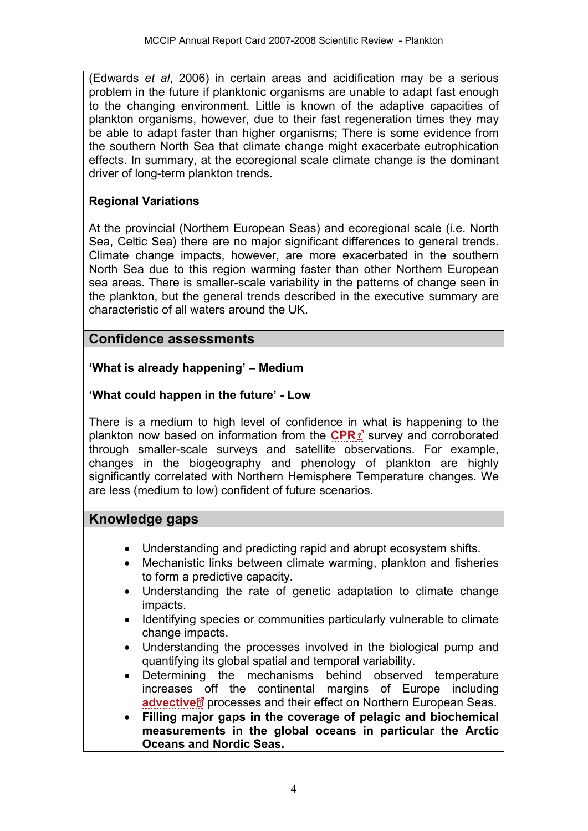(Edwards *et al*, 2006) in certain areas and acidification may be a serious problem in the future if planktonic organisms are unable to adapt fast enough to the changing environment. Little is known of the adaptive capacities of plankton organisms, however, due to their fast regeneration times they may be able to adapt faster than higher organisms; There is some evidence from the southern North Sea that climate change might exacerbate eutrophication effects. In summary, at the ecoregional scale climate change is the dominant driver of long-term plankton trends.

## **Regional Variations**

At the provincial (Northern European Seas) and ecoregional scale (i.e. North Sea, Celtic Sea) there are no major significant differences to general trends. Climate change impacts, however, are more exacerbated in the southern North Sea due to this region warming faster than other Northern European sea areas. There is smaller-scale variability in the patterns of change seen in the plankton, but the general trends described in the executive summary are characteristic of all waters around the UK.

## **Confidence assessments**

### **'What is already happening' – Medium**

### **'What could happen in the future' - Low**

There is a medium to high level of confidence i[n w](http://www.mccip.org.uk/arc/2007/glossary.htm)hat is happening to the plankton now based on information from the **[CPR](http://www.mccip.org.uk/arc/2007/glossary.htm#CPR)** survey and corroborated through smaller-scale surveys and satellite observations. For example, changes in the biogeography and phenology of plankton are highly significantly correlated with Northern Hemisphere Temperature changes. We are less (medium to low) confident of future scenarios.

## **Knowledge gaps**

- Understanding and predicting rapid and abrupt ecosystem shifts.
- Mechanistic links between climate warming, plankton and fisheries to form a predictive capacity.
- Understanding the rate of genetic adaptation to climate change impacts.
- Identifying species or communities particularly vulnerable to climate change impacts.
- Understanding the processes involved in the biological pump and quantifying its global spatial and temporal variability.
- Determining the mechanisms behind observed temperature increases [o](http://www.mccip.org.uk/arc/2007/glossary.htm)ff the continental margins of Europe including **[advective](http://www.mccip.org.uk/arc/2007/glossary.htm#Advective)**<sup>®</sup> processes and their effect on Northern European Seas.
- **Filling major gaps in the coverage of pelagic and biochemical measurements in the global oceans in particular the Arctic Oceans and Nordic Seas.**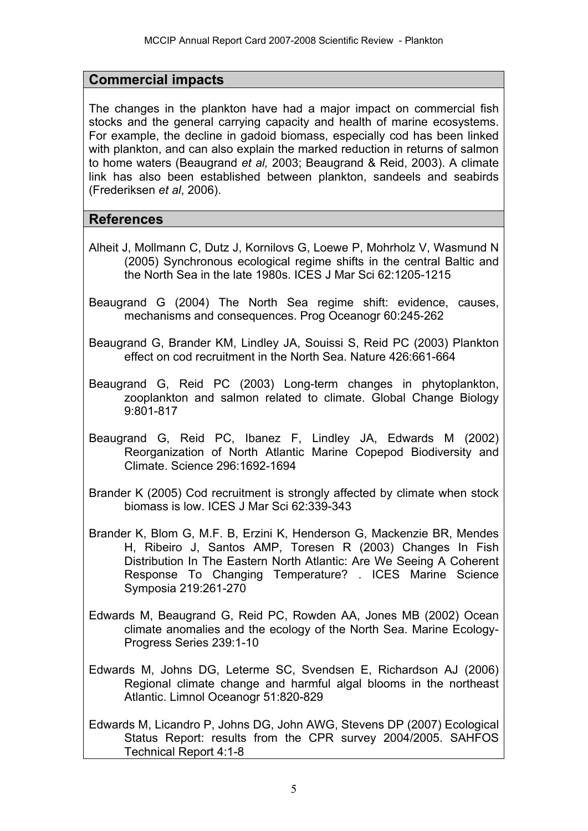## **Commercial impacts**

The changes in the plankton have had a major impact on commercial fish stocks and the general carrying capacity and health of marine ecosystems. For example, the decline in gadoid biomass, especially cod has been linked with plankton, and can also explain the marked reduction in returns of salmon to home waters (Beaugrand *et al,* 2003; Beaugrand & Reid, 2003). A climate link has also been established between plankton, sandeels and seabirds (Frederiksen *et al*, 2006).

## **References**

- Alheit J, Mollmann C, Dutz J, Kornilovs G, Loewe P, Mohrholz V, Wasmund N (2005) Synchronous ecological regime shifts in the central Baltic and the North Sea in the late 1980s. ICES J Mar Sci 62:1205-1215
- Beaugrand G (2004) The North Sea regime shift: evidence, causes, mechanisms and consequences. Prog Oceanogr 60:245-262
- Beaugrand G, Brander KM, Lindley JA, Souissi S, Reid PC (2003) Plankton effect on cod recruitment in the North Sea. Nature 426:661-664
- Beaugrand G, Reid PC (2003) Long-term changes in phytoplankton, zooplankton and salmon related to climate. Global Change Biology 9:801-817
- Beaugrand G, Reid PC, Ibanez F, Lindley JA, Edwards M (2002) Reorganization of North Atlantic Marine Copepod Biodiversity and Climate. Science 296:1692-1694
- Brander K (2005) Cod recruitment is strongly affected by climate when stock biomass is low. ICES J Mar Sci 62:339-343
- Brander K, Blom G, M.F. B, Erzini K, Henderson G, Mackenzie BR, Mendes H, Ribeiro J, Santos AMP, Toresen R (2003) Changes In Fish Distribution In The Eastern North Atlantic: Are We Seeing A Coherent Response To Changing Temperature? . ICES Marine Science Symposia 219:261-270
- Edwards M, Beaugrand G, Reid PC, Rowden AA, Jones MB (2002) Ocean climate anomalies and the ecology of the North Sea. Marine Ecology-Progress Series 239:1-10
- Edwards M, Johns DG, Leterme SC, Svendsen E, Richardson AJ (2006) Regional climate change and harmful algal blooms in the northeast Atlantic. Limnol Oceanogr 51:820-829
- Edwards M, Licandro P, Johns DG, John AWG, Stevens DP (2007) Ecological Status Report: results from the CPR survey 2004/2005. SAHFOS Technical Report 4:1-8